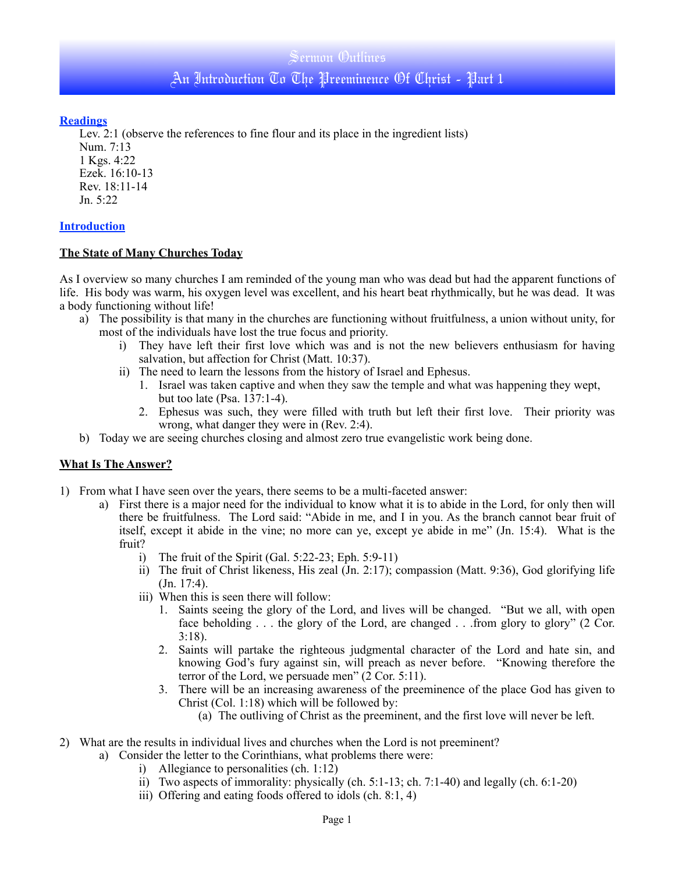## Sermon Outlines

An Introduction To The Preeminence Of Christ - Part 1

## **Readings**

Lev. 2:1 (observe the references to fine flour and its place in the ingredient lists)

Num. 7:13 1 Kgs. 4:22 Ezek. 16:10-13 Rev. 18:11-14 Jn. 5:22

# **Introduction**

# **The State of Many Churches Today**

As I overview so many churches I am reminded of the young man who was dead but had the apparent functions of life. His body was warm, his oxygen level was excellent, and his heart beat rhythmically, but he was dead. It was a body functioning without life!

- a) The possibility is that many in the churches are functioning without fruitfulness, a union without unity, for most of the individuals have lost the true focus and priority.
	- i) They have left their first love which was and is not the new believers enthusiasm for having salvation, but affection for Christ (Matt. 10:37).
	- ii) The need to learn the lessons from the history of Israel and Ephesus.
		- 1. Israel was taken captive and when they saw the temple and what was happening they wept, but too late (Psa. 137:1-4).
		- 2. Ephesus was such, they were filled with truth but left their first love. Their priority was wrong, what danger they were in (Rev. 2:4).
- b) Today we are seeing churches closing and almost zero true evangelistic work being done.

# **What Is The Answer?**

- 1) From what I have seen over the years, there seems to be a multi-faceted answer:
	- a) First there is a major need for the individual to know what it is to abide in the Lord, for only then will there be fruitfulness. The Lord said: "Abide in me, and I in you. As the branch cannot bear fruit of itself, except it abide in the vine; no more can ye, except ye abide in me" (Jn. 15:4). What is the fruit?
		- i) The fruit of the Spirit (Gal. 5:22-23; Eph. 5:9-11)
		- ii) The fruit of Christ likeness, His zeal (Jn. 2:17); compassion (Matt. 9:36), God glorifying life (Jn. 17:4).
		- iii) When this is seen there will follow:
			- 1. Saints seeing the glory of the Lord, and lives will be changed. "But we all, with open face beholding . . . the glory of the Lord, are changed . . .from glory to glory" (2 Cor. 3:18).
			- 2. Saints will partake the righteous judgmental character of the Lord and hate sin, and knowing God's fury against sin, will preach as never before. "Knowing therefore the terror of the Lord, we persuade men" (2 Cor. 5:11).
			- 3. There will be an increasing awareness of the preeminence of the place God has given to Christ (Col. 1:18) which will be followed by:
				- (a) The outliving of Christ as the preeminent, and the first love will never be left.
- 2) What are the results in individual lives and churches when the Lord is not preeminent?
	- a) Consider the letter to the Corinthians, what problems there were:
		- i) Allegiance to personalities (ch. 1:12)
		- ii) Two aspects of immorality: physically (ch. 5:1-13; ch. 7:1-40) and legally (ch. 6:1-20)
		- iii) Offering and eating foods offered to idols (ch. 8:1, 4)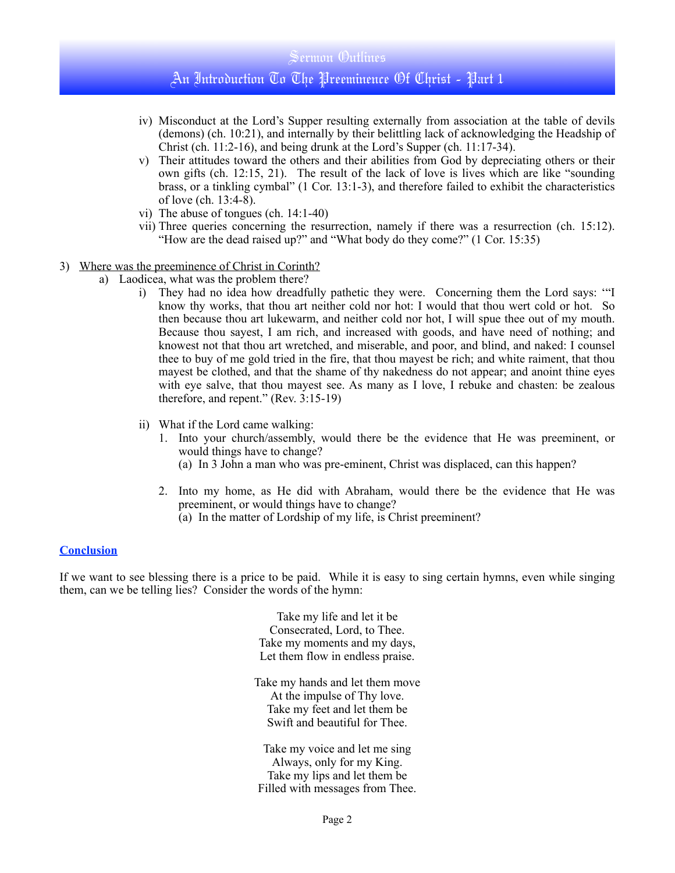#### Sermon Outlines

# An Introduction To The Preeminence Of Christ - Part 1

- iv) Misconduct at the Lord's Supper resulting externally from association at the table of devils (demons) (ch. 10:21), and internally by their belittling lack of acknowledging the Headship of Christ (ch. 11:2-16), and being drunk at the Lord's Supper (ch. 11:17-34).
- v) Their attitudes toward the others and their abilities from God by depreciating others or their own gifts (ch. 12:15, 21). The result of the lack of love is lives which are like "sounding brass, or a tinkling cymbal" (1 Cor. 13:1-3), and therefore failed to exhibit the characteristics of love (ch. 13:4-8).
- vi) The abuse of tongues (ch. 14:1-40)
- vii) Three queries concerning the resurrection, namely if there was a resurrection (ch. 15:12). "How are the dead raised up?" and "What body do they come?" (1 Cor. 15:35)
- 3) Where was the preeminence of Christ in Corinth?
	- a) Laodicea, what was the problem there?
		- i) They had no idea how dreadfully pathetic they were. Concerning them the Lord says: '"I know thy works, that thou art neither cold nor hot: I would that thou wert cold or hot. So then because thou art lukewarm, and neither cold nor hot, I will spue thee out of my mouth. Because thou sayest, I am rich, and increased with goods, and have need of nothing; and knowest not that thou art wretched, and miserable, and poor, and blind, and naked: I counsel thee to buy of me gold tried in the fire, that thou mayest be rich; and white raiment, that thou mayest be clothed, and that the shame of thy nakedness do not appear; and anoint thine eyes with eye salve, that thou mayest see. As many as I love, I rebuke and chasten: be zealous therefore, and repent." (Rev. 3:15-19)
		- ii) What if the Lord came walking:
			- 1. Into your church/assembly, would there be the evidence that He was preeminent, or would things have to change?
				- (a) In 3 John a man who was pre-eminent, Christ was displaced, can this happen?
			- 2. Into my home, as He did with Abraham, would there be the evidence that He was preeminent, or would things have to change? (a) In the matter of Lordship of my life, is Christ preeminent?

#### **Conclusion**

If we want to see blessing there is a price to be paid. While it is easy to sing certain hymns, even while singing them, can we be telling lies? Consider the words of the hymn:

> Take my life and let it be Consecrated, Lord, to Thee. Take my moments and my days, Let them flow in endless praise.

Take my hands and let them move At the impulse of Thy love. Take my feet and let them be Swift and beautiful for Thee.

Take my voice and let me sing Always, only for my King. Take my lips and let them be Filled with messages from Thee.